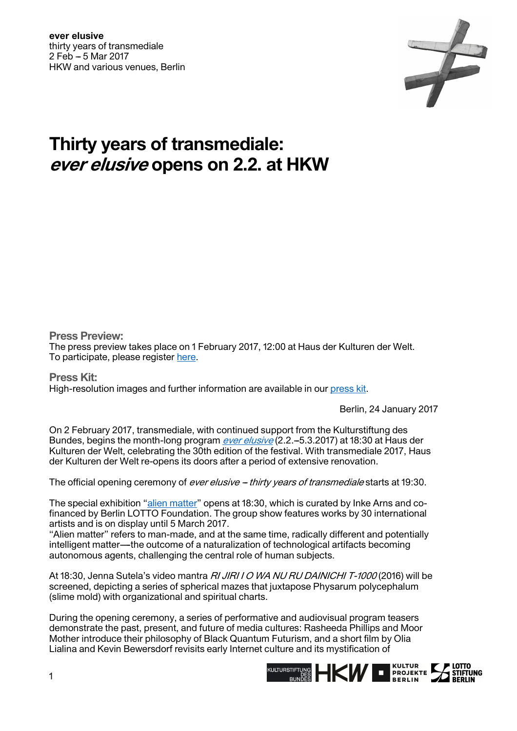

## **Thirty years of transmediale: ever elusive opens on 2.2. at HKW**

**Press Preview:** 

The press preview takes place on 1 February 2017, 12:00 at Haus der Kulturen der Welt. To participate, please register [here](https://transmediale.de/festival/2017/press-preview-sign-up).

**Press Kit:**  High-resolution images and further information are available in our [press kit.](https://transmediale.de/festival/2017/press)

Berlin, 24 January 2017

On 2 February 2017, transmediale, with continued support from the Kulturstiftung des Bundes, begins the month-long program *[ever elusive](https://2017.transmediale.de/)* (2.2.–5.3.2017) at 18:30 at Haus der Kulturen der Welt, celebrating the 30th edition of the festival. With transmediale 2017, Haus der Kulturen der Welt re-opens its doors after a period of extensive renovation.

The official opening ceremony of *ever elusive – thirty years of transmediale* starts at 19:30.

The special exhibition "alien matter" opens at 18:30, which is curated by Inke Arns and cofinanced by Berlin LOTTO Foundation. The group show features works by 30 international artists and is on display until 5 March 2017.

''Alien matter'' refers to man-made, and at the same time, radically different and potentially intelligent matter—the outcome of a naturalization of technological artifacts becoming autonomous agents, challenging the central role of human subjects.

At 18:30, Jenna Sutela's video mantra RI JIRI I O WA NU RU DAINICHI T-1000 (2016) will be screened, depicting a series of spherical mazes that juxtapose Physarum polycephalum (slime mold) with organizational and spiritual charts.

During the opening ceremony, a series of performative and audiovisual program teasers demonstrate the past, present, and future of media cultures: Rasheeda Phillips and Moor Mother introduce their philosophy of Black Quantum Futurism, and a short film by Olia Lialina and Kevin Bewersdorf revisits early Internet culture and its mystification of